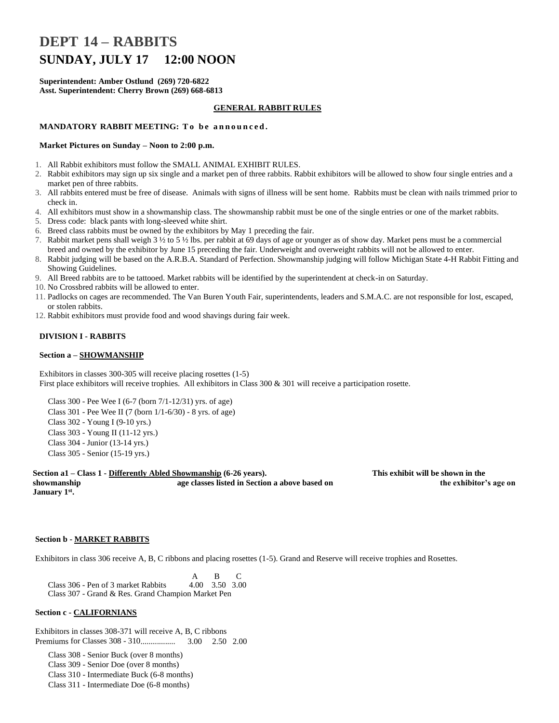# **DEPT 14 – RABBITS SUNDAY, JULY 17 12:00 NOON**

**Superintendent: Amber Ostlund (269) 720-6822 Asst. Superintendent: Cherry Brown (269) 668-6813**

#### **GENERAL RABBIT RULES**

## **MANDATORY RABBIT MEETING: T o b e a n n o u n c e d .**

#### **Market Pictures on Sunday – Noon to 2:00 p.m.**

- 1. All Rabbit exhibitors must follow the SMALL ANIMAL EXHIBIT RULES.
- 2. Rabbit exhibitors may sign up six single and a market pen of three rabbits. Rabbit exhibitors will be allowed to show four single entries and a market pen of three rabbits.
- 3. All rabbits entered must be free of disease. Animals with signs of illness will be sent home. Rabbits must be clean with nails trimmed prior to check in.
- 4. All exhibitors must show in a showmanship class. The showmanship rabbit must be one of the single entries or one of the market rabbits.
- 5. Dress code: black pants with long-sleeved white shirt.
- 6. Breed class rabbits must be owned by the exhibitors by May 1 preceding the fair.
- 7. Rabbit market pens shall weigh 3 ½ to 5 ½ lbs. per rabbit at 69 days of age or younger as of show day. Market pens must be a commercial breed and owned by the exhibitor by June 15 preceding the fair. Underweight and overweight rabbits will not be allowed to enter.
- 8. Rabbit judging will be based on the A.R.B.A. Standard of Perfection. Showmanship judging will follow Michigan State 4-H Rabbit Fitting and Showing Guidelines.
- 9. All Breed rabbits are to be tattooed. Market rabbits will be identified by the superintendent at check-in on Saturday.
- 10. No Crossbred rabbits will be allowed to enter.
- 11. Padlocks on cages are recommended. The Van Buren Youth Fair, superintendents, leaders and S.M.A.C. are not responsible for lost, escaped, or stolen rabbits.
- 12. Rabbit exhibitors must provide food and wood shavings during fair week.

#### **DIVISION I - RABBITS**

#### **Section a – SHOWMANSHIP**

Exhibitors in classes 300-305 will receive placing rosettes (1-5) First place exhibitors will receive trophies. All exhibitors in Class 300 & 301 will receive a participation rosette.

Class 300 - Pee Wee I (6-7 (born 7/1-12/31) yrs. of age) Class 301 - Pee Wee II (7 (born 1/1-6/30) - 8 yrs. of age) Class 302 - Young I (9-10 yrs.) Class 303 - Young II (11-12 yrs.) Class 304 - Junior (13-14 yrs.) Class 305 - Senior (15-19 yrs.)

**Section a1 – Class 1 - Differently Abled Showmanship (6-26 years). This exhibit will be shown in the showmanship age classes listed in Section a above based on the exhibitor's age on January 1st .**

#### **Section b - MARKET RABBITS**

Exhibitors in class 306 receive A, B, C ribbons and placing rosettes (1-5). Grand and Reserve will receive trophies and Rosettes.

 A B C Class 306 - Pen of 3 market Rabbits 4.00 3.50 3.00 Class 307 - Grand & Res. Grand Champion Market Pen

## **Section c - CALIFORNIANS**

Exhibitors in classes 308-371 will receive A, B, C ribbons Premiums for Classes 308 - 310................. 3.00 2.50 2.00

Class 308 - Senior Buck (over 8 months) Class 309 - Senior Doe (over 8 months) Class 310 - Intermediate Buck (6-8 months) Class 311 - Intermediate Doe (6-8 months)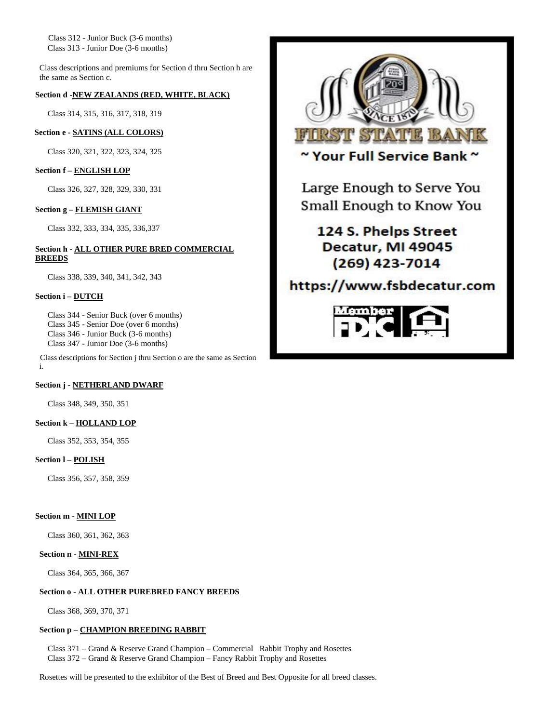Class 312 - Junior Buck (3-6 months) Class 313 - Junior Doe (3-6 months)

Class descriptions and premiums for Section d thru Section h are the same as Section c.

## **Section d -NEW ZEALANDS (RED, WHITE, BLACK)**

Class 314, 315, 316, 317, 318, 319

### **Section e - SATINS (ALL COLORS)**

Class 320, 321, 322, 323, 324, 325

## **Section f – ENGLISH LOP**

Class 326, 327, 328, 329, 330, 331

## **Section g – FLEMISH GIANT**

Class 332, 333, 334, 335, 336,337

#### **Section h - ALL OTHER PURE BRED COMMERCIAL BREEDS**

Class 338, 339, 340, 341, 342, 343

### **Section i – DUTCH**

Class 344 - Senior Buck (over 6 months) Class 345 - Senior Doe (over 6 months) Class 346 - Junior Buck (3-6 months) Class 347 - Junior Doe (3-6 months)

Class descriptions for Section j thru Section o are the same as Section i.

#### **Section j - NETHERLAND DWARF**

Class 348, 349, 350, 351

## **Section k – HOLLAND LOP**

Class 352, 353, 354, 355

## **Section l – POLISH**

Class 356, 357, 358, 359

## **Section m - MINI LOP**

Class 360, 361, 362, 363

#### **Section n - MINI-REX**

Class 364, 365, 366, 367

## **Section o - ALL OTHER PUREBRED FANCY BREEDS**

Class 368, 369, 370, 371

### **Section p – CHAMPION BREEDING RABBIT**

Class 371 – Grand & Reserve Grand Champion – Commercial Rabbit Trophy and Rosettes Class 372 – Grand & Reserve Grand Champion – Fancy Rabbit Trophy and Rosettes

Rosettes will be presented to the exhibitor of the Best of Breed and Best Opposite for all breed classes.



~ Your Full Service Bank ~

Large Enough to Serve You Small Enough to Know You

## 124 S. Phelps Street Decatur, MI 49045 (269) 423-7014

## https://www.fsbdecatur.com